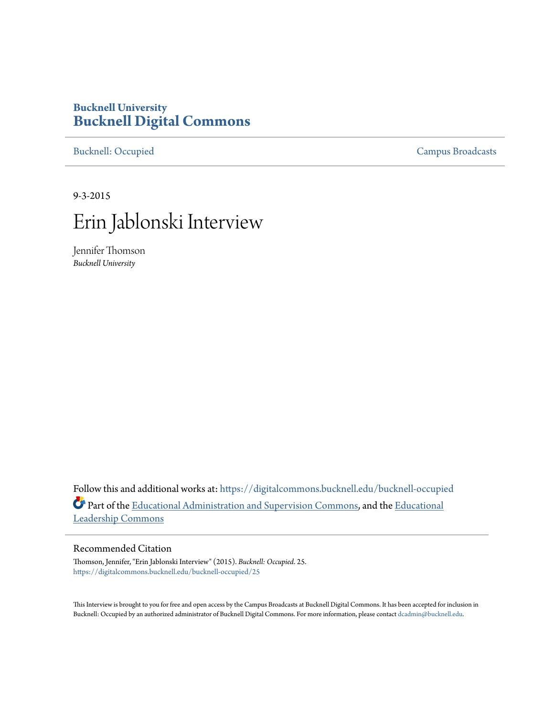## **Bucknell University [Bucknell Digital Commons](https://digitalcommons.bucknell.edu/?utm_source=digitalcommons.bucknell.edu%2Fbucknell-occupied%2F25&utm_medium=PDF&utm_campaign=PDFCoverPages)**

[Bucknell: Occupied](https://digitalcommons.bucknell.edu/bucknell-occupied?utm_source=digitalcommons.bucknell.edu%2Fbucknell-occupied%2F25&utm_medium=PDF&utm_campaign=PDFCoverPages) [Campus Broadcasts](https://digitalcommons.bucknell.edu/campus-broadcasts?utm_source=digitalcommons.bucknell.edu%2Fbucknell-occupied%2F25&utm_medium=PDF&utm_campaign=PDFCoverPages)

9-3-2015



Jennifer Thomson *Bucknell University*

Follow this and additional works at: [https://digitalcommons.bucknell.edu/bucknell-occupied](https://digitalcommons.bucknell.edu/bucknell-occupied?utm_source=digitalcommons.bucknell.edu%2Fbucknell-occupied%2F25&utm_medium=PDF&utm_campaign=PDFCoverPages) Part of the [Educational Administration and Supervision Commons,](http://network.bepress.com/hgg/discipline/787?utm_source=digitalcommons.bucknell.edu%2Fbucknell-occupied%2F25&utm_medium=PDF&utm_campaign=PDFCoverPages) and the [Educational](http://network.bepress.com/hgg/discipline/1230?utm_source=digitalcommons.bucknell.edu%2Fbucknell-occupied%2F25&utm_medium=PDF&utm_campaign=PDFCoverPages) [Leadership Commons](http://network.bepress.com/hgg/discipline/1230?utm_source=digitalcommons.bucknell.edu%2Fbucknell-occupied%2F25&utm_medium=PDF&utm_campaign=PDFCoverPages)

## Recommended Citation

Thomson, Jennifer, "Erin Jablonski Interview" (2015). *Bucknell: Occupied*. 25. [https://digitalcommons.bucknell.edu/bucknell-occupied/25](https://digitalcommons.bucknell.edu/bucknell-occupied/25?utm_source=digitalcommons.bucknell.edu%2Fbucknell-occupied%2F25&utm_medium=PDF&utm_campaign=PDFCoverPages)

This Interview is brought to you for free and open access by the Campus Broadcasts at Bucknell Digital Commons. It has been accepted for inclusion in Bucknell: Occupied by an authorized administrator of Bucknell Digital Commons. For more information, please contact [dcadmin@bucknell.edu](mailto:dcadmin@bucknell.edu).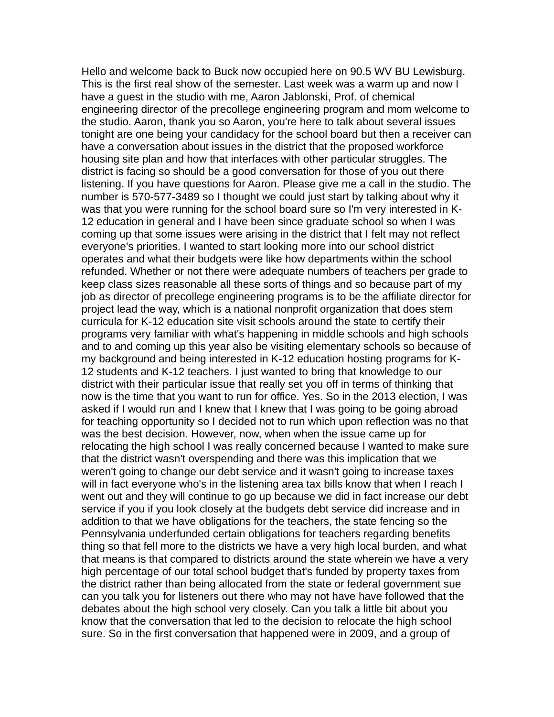Hello and welcome back to Buck now occupied here on 90.5 WV BU Lewisburg. This is the first real show of the semester. Last week was a warm up and now I have a guest in the studio with me, Aaron Jablonski, Prof. of chemical engineering director of the precollege engineering program and mom welcome to the studio. Aaron, thank you so Aaron, you're here to talk about several issues tonight are one being your candidacy for the school board but then a receiver can have a conversation about issues in the district that the proposed workforce housing site plan and how that interfaces with other particular struggles. The district is facing so should be a good conversation for those of you out there listening. If you have questions for Aaron. Please give me a call in the studio. The number is 570-577-3489 so I thought we could just start by talking about why it was that you were running for the school board sure so I'm very interested in K-12 education in general and I have been since graduate school so when I was coming up that some issues were arising in the district that I felt may not reflect everyone's priorities. I wanted to start looking more into our school district operates and what their budgets were like how departments within the school refunded. Whether or not there were adequate numbers of teachers per grade to keep class sizes reasonable all these sorts of things and so because part of my job as director of precollege engineering programs is to be the affiliate director for project lead the way, which is a national nonprofit organization that does stem curricula for K-12 education site visit schools around the state to certify their programs very familiar with what's happening in middle schools and high schools and to and coming up this year also be visiting elementary schools so because of my background and being interested in K-12 education hosting programs for K-12 students and K-12 teachers. I just wanted to bring that knowledge to our district with their particular issue that really set you off in terms of thinking that now is the time that you want to run for office. Yes. So in the 2013 election, I was asked if I would run and I knew that I knew that I was going to be going abroad for teaching opportunity so I decided not to run which upon reflection was no that was the best decision. However, now, when when the issue came up for relocating the high school I was really concerned because I wanted to make sure that the district wasn't overspending and there was this implication that we weren't going to change our debt service and it wasn't going to increase taxes will in fact everyone who's in the listening area tax bills know that when I reach I went out and they will continue to go up because we did in fact increase our debt service if you if you look closely at the budgets debt service did increase and in addition to that we have obligations for the teachers, the state fencing so the Pennsylvania underfunded certain obligations for teachers regarding benefits thing so that fell more to the districts we have a very high local burden, and what that means is that compared to districts around the state wherein we have a very high percentage of our total school budget that's funded by property taxes from the district rather than being allocated from the state or federal government sue can you talk you for listeners out there who may not have have followed that the debates about the high school very closely. Can you talk a little bit about you know that the conversation that led to the decision to relocate the high school sure. So in the first conversation that happened were in 2009, and a group of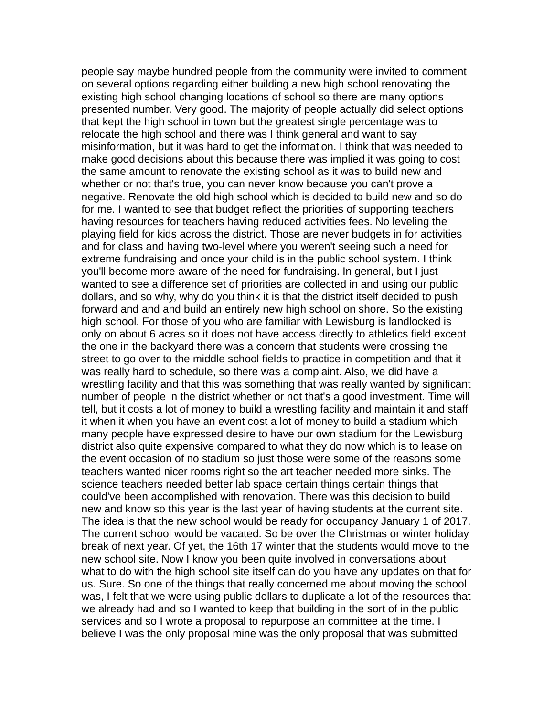people say maybe hundred people from the community were invited to comment on several options regarding either building a new high school renovating the existing high school changing locations of school so there are many options presented number. Very good. The majority of people actually did select options that kept the high school in town but the greatest single percentage was to relocate the high school and there was I think general and want to say misinformation, but it was hard to get the information. I think that was needed to make good decisions about this because there was implied it was going to cost the same amount to renovate the existing school as it was to build new and whether or not that's true, you can never know because you can't prove a negative. Renovate the old high school which is decided to build new and so do for me. I wanted to see that budget reflect the priorities of supporting teachers having resources for teachers having reduced activities fees. No leveling the playing field for kids across the district. Those are never budgets in for activities and for class and having two-level where you weren't seeing such a need for extreme fundraising and once your child is in the public school system. I think you'll become more aware of the need for fundraising. In general, but I just wanted to see a difference set of priorities are collected in and using our public dollars, and so why, why do you think it is that the district itself decided to push forward and and and build an entirely new high school on shore. So the existing high school. For those of you who are familiar with Lewisburg is landlocked is only on about 6 acres so it does not have access directly to athletics field except the one in the backyard there was a concern that students were crossing the street to go over to the middle school fields to practice in competition and that it was really hard to schedule, so there was a complaint. Also, we did have a wrestling facility and that this was something that was really wanted by significant number of people in the district whether or not that's a good investment. Time will tell, but it costs a lot of money to build a wrestling facility and maintain it and staff it when it when you have an event cost a lot of money to build a stadium which many people have expressed desire to have our own stadium for the Lewisburg district also quite expensive compared to what they do now which is to lease on the event occasion of no stadium so just those were some of the reasons some teachers wanted nicer rooms right so the art teacher needed more sinks. The science teachers needed better lab space certain things certain things that could've been accomplished with renovation. There was this decision to build new and know so this year is the last year of having students at the current site. The idea is that the new school would be ready for occupancy January 1 of 2017. The current school would be vacated. So be over the Christmas or winter holiday break of next year. Of yet, the 16th 17 winter that the students would move to the new school site. Now I know you been quite involved in conversations about what to do with the high school site itself can do you have any updates on that for us. Sure. So one of the things that really concerned me about moving the school was, I felt that we were using public dollars to duplicate a lot of the resources that we already had and so I wanted to keep that building in the sort of in the public services and so I wrote a proposal to repurpose an committee at the time. I believe I was the only proposal mine was the only proposal that was submitted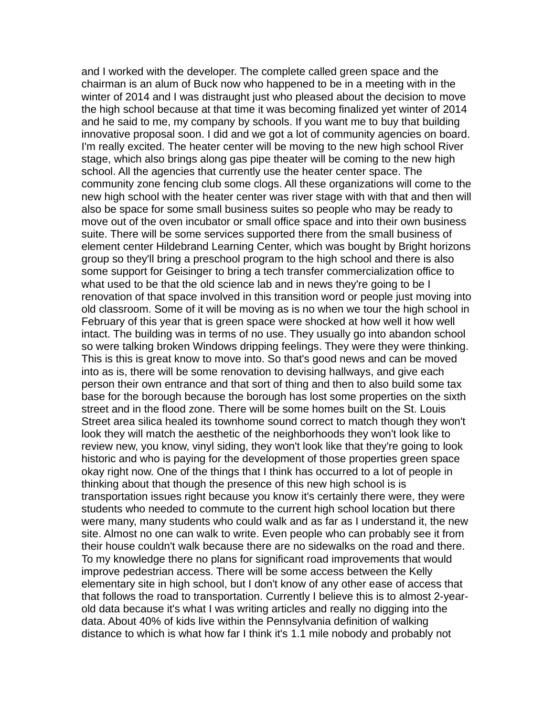and I worked with the developer. The complete called green space and the chairman is an alum of Buck now who happened to be in a meeting with in the winter of 2014 and I was distraught just who pleased about the decision to move the high school because at that time it was becoming finalized yet winter of 2014 and he said to me, my company by schools. If you want me to buy that building innovative proposal soon. I did and we got a lot of community agencies on board. I'm really excited. The heater center will be moving to the new high school River stage, which also brings along gas pipe theater will be coming to the new high school. All the agencies that currently use the heater center space. The community zone fencing club some clogs. All these organizations will come to the new high school with the heater center was river stage with with that and then will also be space for some small business suites so people who may be ready to move out of the oven incubator or small office space and into their own business suite. There will be some services supported there from the small business of element center Hildebrand Learning Center, which was bought by Bright horizons group so they'll bring a preschool program to the high school and there is also some support for Geisinger to bring a tech transfer commercialization office to what used to be that the old science lab and in news they're going to be I renovation of that space involved in this transition word or people just moving into old classroom. Some of it will be moving as is no when we tour the high school in February of this year that is green space were shocked at how well it how well intact. The building was in terms of no use. They usually go into abandon school so were talking broken Windows dripping feelings. They were they were thinking. This is this is great know to move into. So that's good news and can be moved into as is, there will be some renovation to devising hallways, and give each person their own entrance and that sort of thing and then to also build some tax base for the borough because the borough has lost some properties on the sixth street and in the flood zone. There will be some homes built on the St. Louis Street area silica healed its townhome sound correct to match though they won't look they will match the aesthetic of the neighborhoods they won't look like to review new, you know, vinyl siding, they won't look like that they're going to look historic and who is paying for the development of those properties green space okay right now. One of the things that I think has occurred to a lot of people in thinking about that though the presence of this new high school is is transportation issues right because you know it's certainly there were, they were students who needed to commute to the current high school location but there were many, many students who could walk and as far as I understand it, the new site. Almost no one can walk to write. Even people who can probably see it from their house couldn't walk because there are no sidewalks on the road and there. To my knowledge there no plans for significant road improvements that would improve pedestrian access. There will be some access between the Kelly elementary site in high school, but I don't know of any other ease of access that that follows the road to transportation. Currently I believe this is to almost 2-yearold data because it's what I was writing articles and really no digging into the data. About 40% of kids live within the Pennsylvania definition of walking distance to which is what how far I think it's 1.1 mile nobody and probably not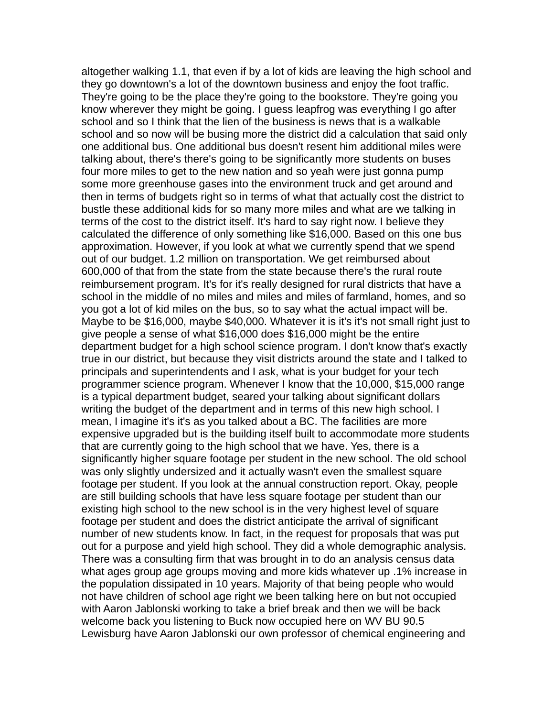altogether walking 1.1, that even if by a lot of kids are leaving the high school and they go downtown's a lot of the downtown business and enjoy the foot traffic. They're going to be the place they're going to the bookstore. They're going you know wherever they might be going. I guess leapfrog was everything I go after school and so I think that the lien of the business is news that is a walkable school and so now will be busing more the district did a calculation that said only one additional bus. One additional bus doesn't resent him additional miles were talking about, there's there's going to be significantly more students on buses four more miles to get to the new nation and so yeah were just gonna pump some more greenhouse gases into the environment truck and get around and then in terms of budgets right so in terms of what that actually cost the district to bustle these additional kids for so many more miles and what are we talking in terms of the cost to the district itself. It's hard to say right now. I believe they calculated the difference of only something like \$16,000. Based on this one bus approximation. However, if you look at what we currently spend that we spend out of our budget. 1.2 million on transportation. We get reimbursed about 600,000 of that from the state from the state because there's the rural route reimbursement program. It's for it's really designed for rural districts that have a school in the middle of no miles and miles and miles of farmland, homes, and so you got a lot of kid miles on the bus, so to say what the actual impact will be. Maybe to be \$16,000, maybe \$40,000. Whatever it is it's it's not small right just to give people a sense of what \$16,000 does \$16,000 might be the entire department budget for a high school science program. I don't know that's exactly true in our district, but because they visit districts around the state and I talked to principals and superintendents and I ask, what is your budget for your tech programmer science program. Whenever I know that the 10,000, \$15,000 range is a typical department budget, seared your talking about significant dollars writing the budget of the department and in terms of this new high school. I mean, I imagine it's it's as you talked about a BC. The facilities are more expensive upgraded but is the building itself built to accommodate more students that are currently going to the high school that we have. Yes, there is a significantly higher square footage per student in the new school. The old school was only slightly undersized and it actually wasn't even the smallest square footage per student. If you look at the annual construction report. Okay, people are still building schools that have less square footage per student than our existing high school to the new school is in the very highest level of square footage per student and does the district anticipate the arrival of significant number of new students know. In fact, in the request for proposals that was put out for a purpose and yield high school. They did a whole demographic analysis. There was a consulting firm that was brought in to do an analysis census data what ages group age groups moving and more kids whatever up .1% increase in the population dissipated in 10 years. Majority of that being people who would not have children of school age right we been talking here on but not occupied with Aaron Jablonski working to take a brief break and then we will be back welcome back you listening to Buck now occupied here on WV BU 90.5 Lewisburg have Aaron Jablonski our own professor of chemical engineering and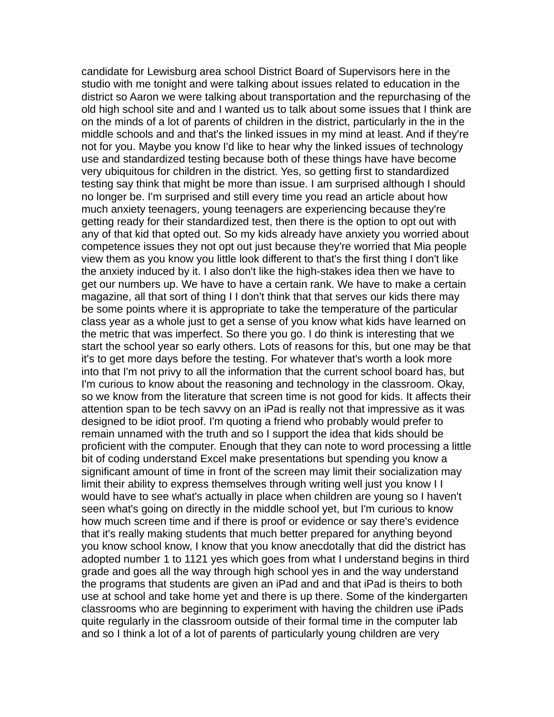candidate for Lewisburg area school District Board of Supervisors here in the studio with me tonight and were talking about issues related to education in the district so Aaron we were talking about transportation and the repurchasing of the old high school site and and I wanted us to talk about some issues that I think are on the minds of a lot of parents of children in the district, particularly in the in the middle schools and and that's the linked issues in my mind at least. And if they're not for you. Maybe you know I'd like to hear why the linked issues of technology use and standardized testing because both of these things have have become very ubiquitous for children in the district. Yes, so getting first to standardized testing say think that might be more than issue. I am surprised although I should no longer be. I'm surprised and still every time you read an article about how much anxiety teenagers, young teenagers are experiencing because they're getting ready for their standardized test, then there is the option to opt out with any of that kid that opted out. So my kids already have anxiety you worried about competence issues they not opt out just because they're worried that Mia people view them as you know you little look different to that's the first thing I don't like the anxiety induced by it. I also don't like the high-stakes idea then we have to get our numbers up. We have to have a certain rank. We have to make a certain magazine, all that sort of thing I I don't think that that serves our kids there may be some points where it is appropriate to take the temperature of the particular class year as a whole just to get a sense of you know what kids have learned on the metric that was imperfect. So there you go. I do think is interesting that we start the school year so early others. Lots of reasons for this, but one may be that it's to get more days before the testing. For whatever that's worth a look more into that I'm not privy to all the information that the current school board has, but I'm curious to know about the reasoning and technology in the classroom. Okay, so we know from the literature that screen time is not good for kids. It affects their attention span to be tech savvy on an iPad is really not that impressive as it was designed to be idiot proof. I'm quoting a friend who probably would prefer to remain unnamed with the truth and so I support the idea that kids should be proficient with the computer. Enough that they can note to word processing a little bit of coding understand Excel make presentations but spending you know a significant amount of time in front of the screen may limit their socialization may limit their ability to express themselves through writing well just you know I I would have to see what's actually in place when children are young so I haven't seen what's going on directly in the middle school yet, but I'm curious to know how much screen time and if there is proof or evidence or say there's evidence that it's really making students that much better prepared for anything beyond you know school know, I know that you know anecdotally that did the district has adopted number 1 to 1121 yes which goes from what I understand begins in third grade and goes all the way through high school yes in and the way understand the programs that students are given an iPad and and that iPad is theirs to both use at school and take home yet and there is up there. Some of the kindergarten classrooms who are beginning to experiment with having the children use iPads quite regularly in the classroom outside of their formal time in the computer lab and so I think a lot of a lot of parents of particularly young children are very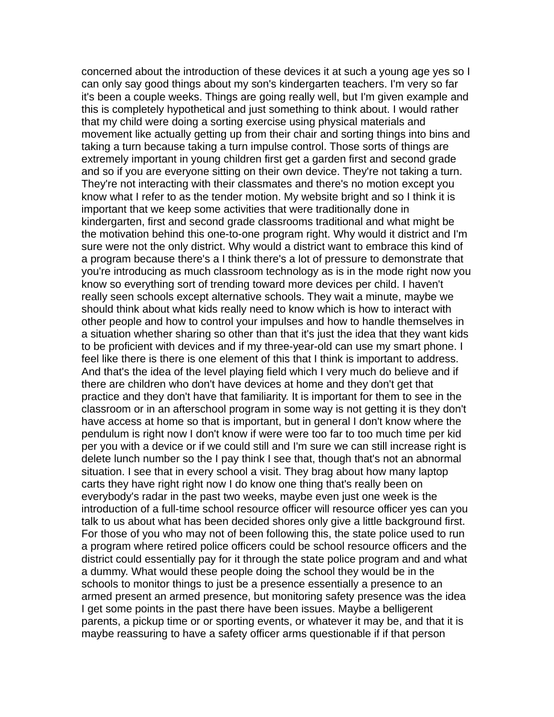concerned about the introduction of these devices it at such a young age yes so I can only say good things about my son's kindergarten teachers. I'm very so far it's been a couple weeks. Things are going really well, but I'm given example and this is completely hypothetical and just something to think about. I would rather that my child were doing a sorting exercise using physical materials and movement like actually getting up from their chair and sorting things into bins and taking a turn because taking a turn impulse control. Those sorts of things are extremely important in young children first get a garden first and second grade and so if you are everyone sitting on their own device. They're not taking a turn. They're not interacting with their classmates and there's no motion except you know what I refer to as the tender motion. My website bright and so I think it is important that we keep some activities that were traditionally done in kindergarten, first and second grade classrooms traditional and what might be the motivation behind this one-to-one program right. Why would it district and I'm sure were not the only district. Why would a district want to embrace this kind of a program because there's a I think there's a lot of pressure to demonstrate that you're introducing as much classroom technology as is in the mode right now you know so everything sort of trending toward more devices per child. I haven't really seen schools except alternative schools. They wait a minute, maybe we should think about what kids really need to know which is how to interact with other people and how to control your impulses and how to handle themselves in a situation whether sharing so other than that it's just the idea that they want kids to be proficient with devices and if my three-year-old can use my smart phone. I feel like there is there is one element of this that I think is important to address. And that's the idea of the level playing field which I very much do believe and if there are children who don't have devices at home and they don't get that practice and they don't have that familiarity. It is important for them to see in the classroom or in an afterschool program in some way is not getting it is they don't have access at home so that is important, but in general I don't know where the pendulum is right now I don't know if were were too far to too much time per kid per you with a device or if we could still and I'm sure we can still increase right is delete lunch number so the I pay think I see that, though that's not an abnormal situation. I see that in every school a visit. They brag about how many laptop carts they have right right now I do know one thing that's really been on everybody's radar in the past two weeks, maybe even just one week is the introduction of a full-time school resource officer will resource officer yes can you talk to us about what has been decided shores only give a little background first. For those of you who may not of been following this, the state police used to run a program where retired police officers could be school resource officers and the district could essentially pay for it through the state police program and and what a dummy. What would these people doing the school they would be in the schools to monitor things to just be a presence essentially a presence to an armed present an armed presence, but monitoring safety presence was the idea I get some points in the past there have been issues. Maybe a belligerent parents, a pickup time or or sporting events, or whatever it may be, and that it is maybe reassuring to have a safety officer arms questionable if if that person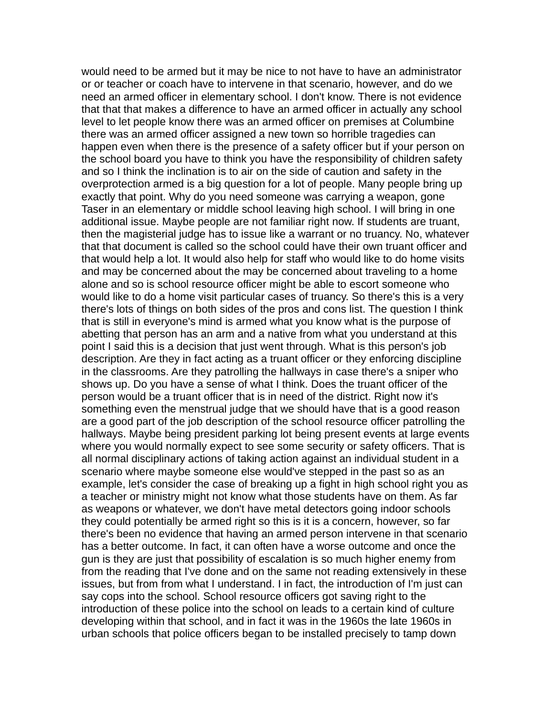would need to be armed but it may be nice to not have to have an administrator or or teacher or coach have to intervene in that scenario, however, and do we need an armed officer in elementary school. I don't know. There is not evidence that that that makes a difference to have an armed officer in actually any school level to let people know there was an armed officer on premises at Columbine there was an armed officer assigned a new town so horrible tragedies can happen even when there is the presence of a safety officer but if your person on the school board you have to think you have the responsibility of children safety and so I think the inclination is to air on the side of caution and safety in the overprotection armed is a big question for a lot of people. Many people bring up exactly that point. Why do you need someone was carrying a weapon, gone Taser in an elementary or middle school leaving high school. I will bring in one additional issue. Maybe people are not familiar right now. If students are truant, then the magisterial judge has to issue like a warrant or no truancy. No, whatever that that document is called so the school could have their own truant officer and that would help a lot. It would also help for staff who would like to do home visits and may be concerned about the may be concerned about traveling to a home alone and so is school resource officer might be able to escort someone who would like to do a home visit particular cases of truancy. So there's this is a very there's lots of things on both sides of the pros and cons list. The question I think that is still in everyone's mind is armed what you know what is the purpose of abetting that person has an arm and a native from what you understand at this point I said this is a decision that just went through. What is this person's job description. Are they in fact acting as a truant officer or they enforcing discipline in the classrooms. Are they patrolling the hallways in case there's a sniper who shows up. Do you have a sense of what I think. Does the truant officer of the person would be a truant officer that is in need of the district. Right now it's something even the menstrual judge that we should have that is a good reason are a good part of the job description of the school resource officer patrolling the hallways. Maybe being president parking lot being present events at large events where you would normally expect to see some security or safety officers. That is all normal disciplinary actions of taking action against an individual student in a scenario where maybe someone else would've stepped in the past so as an example, let's consider the case of breaking up a fight in high school right you as a teacher or ministry might not know what those students have on them. As far as weapons or whatever, we don't have metal detectors going indoor schools they could potentially be armed right so this is it is a concern, however, so far there's been no evidence that having an armed person intervene in that scenario has a better outcome. In fact, it can often have a worse outcome and once the gun is they are just that possibility of escalation is so much higher enemy from from the reading that I've done and on the same not reading extensively in these issues, but from from what I understand. I in fact, the introduction of I'm just can say cops into the school. School resource officers got saving right to the introduction of these police into the school on leads to a certain kind of culture developing within that school, and in fact it was in the 1960s the late 1960s in urban schools that police officers began to be installed precisely to tamp down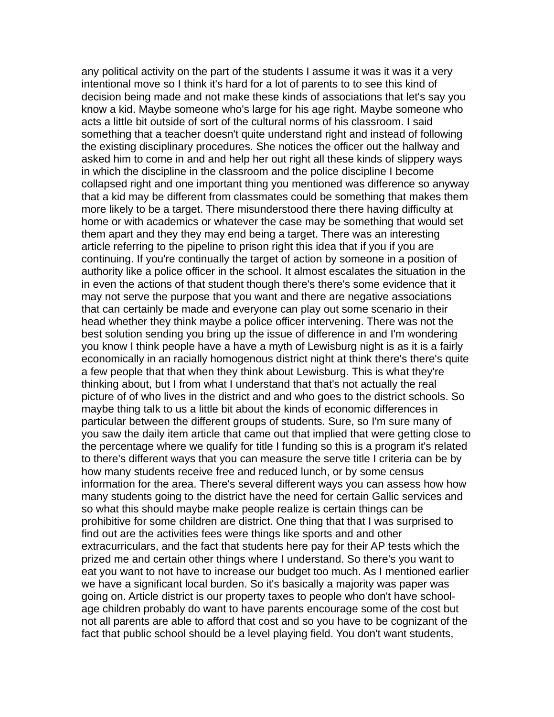any political activity on the part of the students I assume it was it was it a very intentional move so I think it's hard for a lot of parents to to see this kind of decision being made and not make these kinds of associations that let's say you know a kid. Maybe someone who's large for his age right. Maybe someone who acts a little bit outside of sort of the cultural norms of his classroom. I said something that a teacher doesn't quite understand right and instead of following the existing disciplinary procedures. She notices the officer out the hallway and asked him to come in and and help her out right all these kinds of slippery ways in which the discipline in the classroom and the police discipline I become collapsed right and one important thing you mentioned was difference so anyway that a kid may be different from classmates could be something that makes them more likely to be a target. There misunderstood there there having difficulty at home or with academics or whatever the case may be something that would set them apart and they they may end being a target. There was an interesting article referring to the pipeline to prison right this idea that if you if you are continuing. If you're continually the target of action by someone in a position of authority like a police officer in the school. It almost escalates the situation in the in even the actions of that student though there's there's some evidence that it may not serve the purpose that you want and there are negative associations that can certainly be made and everyone can play out some scenario in their head whether they think maybe a police officer intervening. There was not the best solution sending you bring up the issue of difference in and I'm wondering you know I think people have a have a myth of Lewisburg night is as it is a fairly economically in an racially homogenous district night at think there's there's quite a few people that that when they think about Lewisburg. This is what they're thinking about, but I from what I understand that that's not actually the real picture of of who lives in the district and and who goes to the district schools. So maybe thing talk to us a little bit about the kinds of economic differences in particular between the different groups of students. Sure, so I'm sure many of you saw the daily item article that came out that implied that were getting close to the percentage where we qualify for title I funding so this is a program it's related to there's different ways that you can measure the serve title I criteria can be by how many students receive free and reduced lunch, or by some census information for the area. There's several different ways you can assess how how many students going to the district have the need for certain Gallic services and so what this should maybe make people realize is certain things can be prohibitive for some children are district. One thing that that I was surprised to find out are the activities fees were things like sports and and other extracurriculars, and the fact that students here pay for their AP tests which the prized me and certain other things where I understand. So there's you want to eat you want to not have to increase our budget too much. As I mentioned earlier we have a significant local burden. So it's basically a majority was paper was going on. Article district is our property taxes to people who don't have schoolage children probably do want to have parents encourage some of the cost but not all parents are able to afford that cost and so you have to be cognizant of the fact that public school should be a level playing field. You don't want students,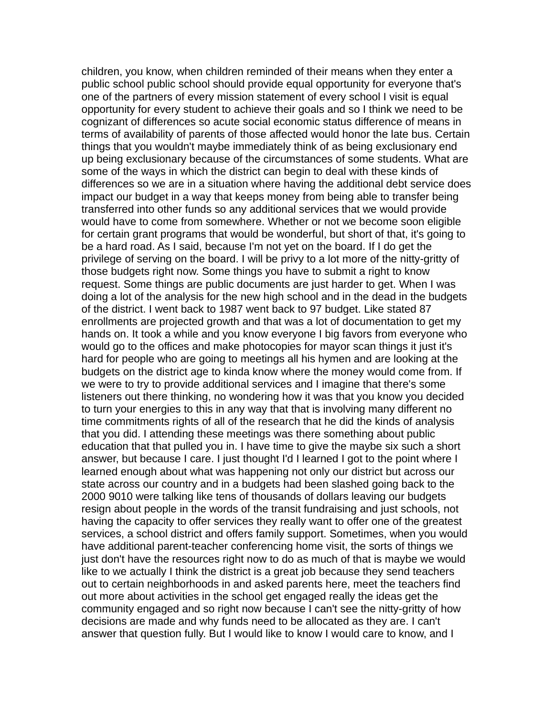children, you know, when children reminded of their means when they enter a public school public school should provide equal opportunity for everyone that's one of the partners of every mission statement of every school I visit is equal opportunity for every student to achieve their goals and so I think we need to be cognizant of differences so acute social economic status difference of means in terms of availability of parents of those affected would honor the late bus. Certain things that you wouldn't maybe immediately think of as being exclusionary end up being exclusionary because of the circumstances of some students. What are some of the ways in which the district can begin to deal with these kinds of differences so we are in a situation where having the additional debt service does impact our budget in a way that keeps money from being able to transfer being transferred into other funds so any additional services that we would provide would have to come from somewhere. Whether or not we become soon eligible for certain grant programs that would be wonderful, but short of that, it's going to be a hard road. As I said, because I'm not yet on the board. If I do get the privilege of serving on the board. I will be privy to a lot more of the nitty-gritty of those budgets right now. Some things you have to submit a right to know request. Some things are public documents are just harder to get. When I was doing a lot of the analysis for the new high school and in the dead in the budgets of the district. I went back to 1987 went back to 97 budget. Like stated 87 enrollments are projected growth and that was a lot of documentation to get my hands on. It took a while and you know everyone I big favors from everyone who would go to the offices and make photocopies for mayor scan things it just it's hard for people who are going to meetings all his hymen and are looking at the budgets on the district age to kinda know where the money would come from. If we were to try to provide additional services and I imagine that there's some listeners out there thinking, no wondering how it was that you know you decided to turn your energies to this in any way that that is involving many different no time commitments rights of all of the research that he did the kinds of analysis that you did. I attending these meetings was there something about public education that that pulled you in. I have time to give the maybe six such a short answer, but because I care. I just thought I'd I learned I got to the point where I learned enough about what was happening not only our district but across our state across our country and in a budgets had been slashed going back to the 2000 9010 were talking like tens of thousands of dollars leaving our budgets resign about people in the words of the transit fundraising and just schools, not having the capacity to offer services they really want to offer one of the greatest services, a school district and offers family support. Sometimes, when you would have additional parent-teacher conferencing home visit, the sorts of things we just don't have the resources right now to do as much of that is maybe we would like to we actually I think the district is a great job because they send teachers out to certain neighborhoods in and asked parents here, meet the teachers find out more about activities in the school get engaged really the ideas get the community engaged and so right now because I can't see the nitty-gritty of how decisions are made and why funds need to be allocated as they are. I can't answer that question fully. But I would like to know I would care to know, and I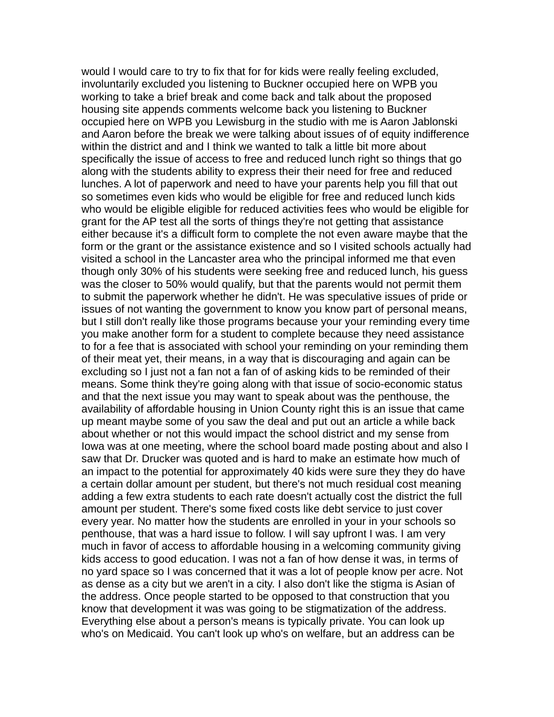would I would care to try to fix that for for kids were really feeling excluded, involuntarily excluded you listening to Buckner occupied here on WPB you working to take a brief break and come back and talk about the proposed housing site appends comments welcome back you listening to Buckner occupied here on WPB you Lewisburg in the studio with me is Aaron Jablonski and Aaron before the break we were talking about issues of of equity indifference within the district and and I think we wanted to talk a little bit more about specifically the issue of access to free and reduced lunch right so things that go along with the students ability to express their their need for free and reduced lunches. A lot of paperwork and need to have your parents help you fill that out so sometimes even kids who would be eligible for free and reduced lunch kids who would be eligible eligible for reduced activities fees who would be eligible for grant for the AP test all the sorts of things they're not getting that assistance either because it's a difficult form to complete the not even aware maybe that the form or the grant or the assistance existence and so I visited schools actually had visited a school in the Lancaster area who the principal informed me that even though only 30% of his students were seeking free and reduced lunch, his guess was the closer to 50% would qualify, but that the parents would not permit them to submit the paperwork whether he didn't. He was speculative issues of pride or issues of not wanting the government to know you know part of personal means, but I still don't really like those programs because your your reminding every time you make another form for a student to complete because they need assistance to for a fee that is associated with school your reminding on your reminding them of their meat yet, their means, in a way that is discouraging and again can be excluding so I just not a fan not a fan of of asking kids to be reminded of their means. Some think they're going along with that issue of socio-economic status and that the next issue you may want to speak about was the penthouse, the availability of affordable housing in Union County right this is an issue that came up meant maybe some of you saw the deal and put out an article a while back about whether or not this would impact the school district and my sense from Iowa was at one meeting, where the school board made posting about and also I saw that Dr. Drucker was quoted and is hard to make an estimate how much of an impact to the potential for approximately 40 kids were sure they they do have a certain dollar amount per student, but there's not much residual cost meaning adding a few extra students to each rate doesn't actually cost the district the full amount per student. There's some fixed costs like debt service to just cover every year. No matter how the students are enrolled in your in your schools so penthouse, that was a hard issue to follow. I will say upfront I was. I am very much in favor of access to affordable housing in a welcoming community giving kids access to good education. I was not a fan of how dense it was, in terms of no yard space so I was concerned that it was a lot of people know per acre. Not as dense as a city but we aren't in a city. I also don't like the stigma is Asian of the address. Once people started to be opposed to that construction that you know that development it was was going to be stigmatization of the address. Everything else about a person's means is typically private. You can look up who's on Medicaid. You can't look up who's on welfare, but an address can be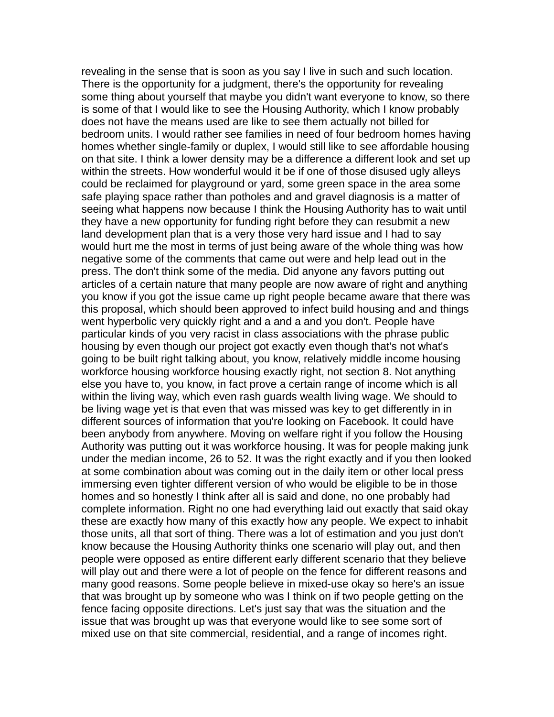revealing in the sense that is soon as you say I live in such and such location. There is the opportunity for a judgment, there's the opportunity for revealing some thing about yourself that maybe you didn't want everyone to know, so there is some of that I would like to see the Housing Authority, which I know probably does not have the means used are like to see them actually not billed for bedroom units. I would rather see families in need of four bedroom homes having homes whether single-family or duplex, I would still like to see affordable housing on that site. I think a lower density may be a difference a different look and set up within the streets. How wonderful would it be if one of those disused ugly alleys could be reclaimed for playground or yard, some green space in the area some safe playing space rather than potholes and and gravel diagnosis is a matter of seeing what happens now because I think the Housing Authority has to wait until they have a new opportunity for funding right before they can resubmit a new land development plan that is a very those very hard issue and I had to say would hurt me the most in terms of just being aware of the whole thing was how negative some of the comments that came out were and help lead out in the press. The don't think some of the media. Did anyone any favors putting out articles of a certain nature that many people are now aware of right and anything you know if you got the issue came up right people became aware that there was this proposal, which should been approved to infect build housing and and things went hyperbolic very quickly right and a and a and you don't. People have particular kinds of you very racist in class associations with the phrase public housing by even though our project got exactly even though that's not what's going to be built right talking about, you know, relatively middle income housing workforce housing workforce housing exactly right, not section 8. Not anything else you have to, you know, in fact prove a certain range of income which is all within the living way, which even rash guards wealth living wage. We should to be living wage yet is that even that was missed was key to get differently in in different sources of information that you're looking on Facebook. It could have been anybody from anywhere. Moving on welfare right if you follow the Housing Authority was putting out it was workforce housing. It was for people making junk under the median income, 26 to 52. It was the right exactly and if you then looked at some combination about was coming out in the daily item or other local press immersing even tighter different version of who would be eligible to be in those homes and so honestly I think after all is said and done, no one probably had complete information. Right no one had everything laid out exactly that said okay these are exactly how many of this exactly how any people. We expect to inhabit those units, all that sort of thing. There was a lot of estimation and you just don't know because the Housing Authority thinks one scenario will play out, and then people were opposed as entire different early different scenario that they believe will play out and there were a lot of people on the fence for different reasons and many good reasons. Some people believe in mixed-use okay so here's an issue that was brought up by someone who was I think on if two people getting on the fence facing opposite directions. Let's just say that was the situation and the issue that was brought up was that everyone would like to see some sort of mixed use on that site commercial, residential, and a range of incomes right.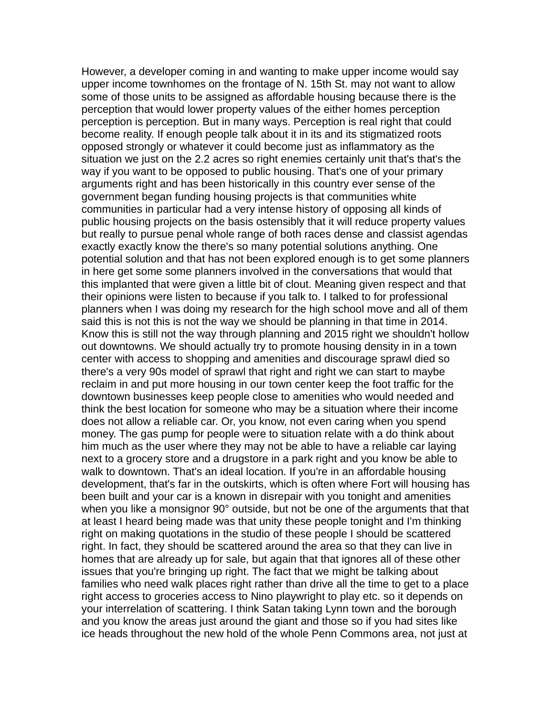However, a developer coming in and wanting to make upper income would say upper income townhomes on the frontage of N. 15th St. may not want to allow some of those units to be assigned as affordable housing because there is the perception that would lower property values of the either homes perception perception is perception. But in many ways. Perception is real right that could become reality. If enough people talk about it in its and its stigmatized roots opposed strongly or whatever it could become just as inflammatory as the situation we just on the 2.2 acres so right enemies certainly unit that's that's the way if you want to be opposed to public housing. That's one of your primary arguments right and has been historically in this country ever sense of the government began funding housing projects is that communities white communities in particular had a very intense history of opposing all kinds of public housing projects on the basis ostensibly that it will reduce property values but really to pursue penal whole range of both races dense and classist agendas exactly exactly know the there's so many potential solutions anything. One potential solution and that has not been explored enough is to get some planners in here get some some planners involved in the conversations that would that this implanted that were given a little bit of clout. Meaning given respect and that their opinions were listen to because if you talk to. I talked to for professional planners when I was doing my research for the high school move and all of them said this is not this is not the way we should be planning in that time in 2014. Know this is still not the way through planning and 2015 right we shouldn't hollow out downtowns. We should actually try to promote housing density in in a town center with access to shopping and amenities and discourage sprawl died so there's a very 90s model of sprawl that right and right we can start to maybe reclaim in and put more housing in our town center keep the foot traffic for the downtown businesses keep people close to amenities who would needed and think the best location for someone who may be a situation where their income does not allow a reliable car. Or, you know, not even caring when you spend money. The gas pump for people were to situation relate with a do think about him much as the user where they may not be able to have a reliable car laying next to a grocery store and a drugstore in a park right and you know be able to walk to downtown. That's an ideal location. If you're in an affordable housing development, that's far in the outskirts, which is often where Fort will housing has been built and your car is a known in disrepair with you tonight and amenities when you like a monsignor 90° outside, but not be one of the arguments that that at least I heard being made was that unity these people tonight and I'm thinking right on making quotations in the studio of these people I should be scattered right. In fact, they should be scattered around the area so that they can live in homes that are already up for sale, but again that that ignores all of these other issues that you're bringing up right. The fact that we might be talking about families who need walk places right rather than drive all the time to get to a place right access to groceries access to Nino playwright to play etc. so it depends on your interrelation of scattering. I think Satan taking Lynn town and the borough and you know the areas just around the giant and those so if you had sites like ice heads throughout the new hold of the whole Penn Commons area, not just at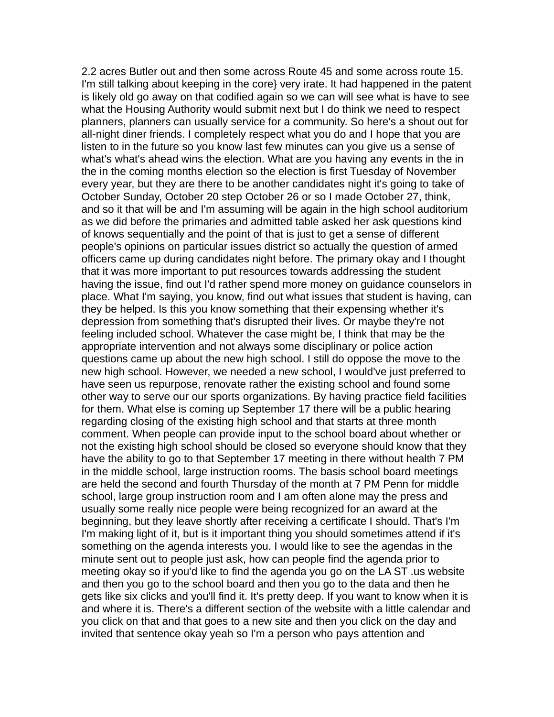2.2 acres Butler out and then some across Route 45 and some across route 15. I'm still talking about keeping in the core} very irate. It had happened in the patent is likely old go away on that codified again so we can will see what is have to see what the Housing Authority would submit next but I do think we need to respect planners, planners can usually service for a community. So here's a shout out for all-night diner friends. I completely respect what you do and I hope that you are listen to in the future so you know last few minutes can you give us a sense of what's what's ahead wins the election. What are you having any events in the in the in the coming months election so the election is first Tuesday of November every year, but they are there to be another candidates night it's going to take of October Sunday, October 20 step October 26 or so I made October 27, think, and so it that will be and I'm assuming will be again in the high school auditorium as we did before the primaries and admitted table asked her ask questions kind of knows sequentially and the point of that is just to get a sense of different people's opinions on particular issues district so actually the question of armed officers came up during candidates night before. The primary okay and I thought that it was more important to put resources towards addressing the student having the issue, find out I'd rather spend more money on guidance counselors in place. What I'm saying, you know, find out what issues that student is having, can they be helped. Is this you know something that their expensing whether it's depression from something that's disrupted their lives. Or maybe they're not feeling included school. Whatever the case might be, I think that may be the appropriate intervention and not always some disciplinary or police action questions came up about the new high school. I still do oppose the move to the new high school. However, we needed a new school, I would've just preferred to have seen us repurpose, renovate rather the existing school and found some other way to serve our our sports organizations. By having practice field facilities for them. What else is coming up September 17 there will be a public hearing regarding closing of the existing high school and that starts at three month comment. When people can provide input to the school board about whether or not the existing high school should be closed so everyone should know that they have the ability to go to that September 17 meeting in there without health 7 PM in the middle school, large instruction rooms. The basis school board meetings are held the second and fourth Thursday of the month at 7 PM Penn for middle school, large group instruction room and I am often alone may the press and usually some really nice people were being recognized for an award at the beginning, but they leave shortly after receiving a certificate I should. That's I'm I'm making light of it, but is it important thing you should sometimes attend if it's something on the agenda interests you. I would like to see the agendas in the minute sent out to people just ask, how can people find the agenda prior to meeting okay so if you'd like to find the agenda you go on the LA ST .us website and then you go to the school board and then you go to the data and then he gets like six clicks and you'll find it. It's pretty deep. If you want to know when it is and where it is. There's a different section of the website with a little calendar and you click on that and that goes to a new site and then you click on the day and invited that sentence okay yeah so I'm a person who pays attention and